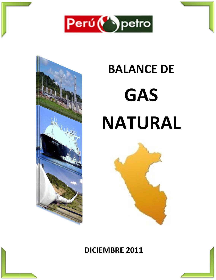



# **BALANCE DE NATURAL GA AS**



# **DICIE MBRE E 2011 1**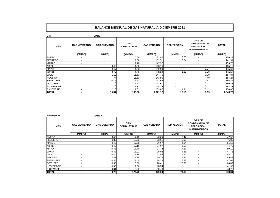| <b>GMP</b>       |                          | <b>LOTE I</b>            |                                  |                    |                          |                                                                             |              |
|------------------|--------------------------|--------------------------|----------------------------------|--------------------|--------------------------|-----------------------------------------------------------------------------|--------------|
| <b>MES</b>       | <b>GAS VENTEADO</b>      | <b>GAS QUEMADO</b>       | <b>GAS</b><br><b>COMBUSTIBLE</b> | <b>GAS VENDIDO</b> | <b>REINYECCIÓN</b>       | <b>GAS DE</b><br><b>CONDENSADO DE</b><br>REPOSICIÓN,<br><b>INSTRUMENTOS</b> | <b>TOTAL</b> |
|                  | (MMPC)                   | (MMPC)                   | (MMPC)                           | (MMPC)             | (MMPC)                   | (MMPC)                                                                      | (MMPC)       |
| <b>ENERO</b>     | ٠                        | $\overline{\phantom{a}}$ | 10.69                            | 132.92             | 12.66                    | $\overline{\phantom{a}}$                                                    | 156.27       |
| <b>FEBRERO</b>   | $\overline{\phantom{a}}$ | $\overline{\phantom{0}}$ | 9.66                             | 131.51             | 0.74                     | $\overline{\phantom{a}}$                                                    | 141.91       |
| <b>MARZO</b>     | ٠                        | $\overline{\phantom{a}}$ | 11.78                            | 147.97             | $\overline{\phantom{a}}$ | $\overline{\phantom{a}}$                                                    | 159.75       |
| <b>ABRIL</b>     | $\overline{\phantom{a}}$ | 0.45                     | 11.55                            | 143.16             | $\overline{\phantom{a}}$ | $\overline{\phantom{a}}$                                                    | 155.16       |
| <b>MAYO</b>      | $\sim$                   | 3.40                     | 11.93                            | 129.99             | $\overline{\phantom{a}}$ | 0.37                                                                        | 145.69       |
| <b>JUNIO</b>     | $\sim$                   | 3.72                     | 11.25                            | 128.33             | 1.82                     | 0.38                                                                        | 145.50       |
| <b>JULIO</b>     | ٠                        | 1.12                     | 11.63                            | 144.70             | $\overline{\phantom{a}}$ | 0.39                                                                        | 157.84       |
| <b>AGOSTO</b>    | $\blacksquare$           | 1.26                     | 11.63                            | 143.95             | $\overline{\phantom{a}}$ | 0.40                                                                        | 157.24       |
| <b>SETIEMBRE</b> | $\overline{\phantom{a}}$ | 0.76                     | 11.63                            | 142.56             | $\overline{\phantom{0}}$ | 0.41                                                                        | 155.36       |
| <b>OCTUBRE</b>   | $\overline{\phantom{a}}$ | 1.18                     | 11.63                            | 147.61             | $\overline{\phantom{0}}$ | 0.41                                                                        | 160.83       |
| <b>NOVIEMBRE</b> | $\overline{a}$           | .26                      | 11.81                            | 144.75             | $\overline{\phantom{a}}$ | 0.41                                                                        | 158.23       |
| <b>DICIEMBRE</b> | $\overline{\phantom{a}}$ | 2.16                     | 11.81                            | 133.67             | 1.94                     | 0.42                                                                        | 150.00       |
| <b>TOTAL</b>     | $\blacksquare$           | 15.31                    | 136.98                           | 1,671.12           | 17.16                    | 3.19                                                                        | ا843.76.1    |

| <b>PETROMONT</b> |                          | <b>LOTE II</b>     |                                  |                    |                          |                                                                             |              |
|------------------|--------------------------|--------------------|----------------------------------|--------------------|--------------------------|-----------------------------------------------------------------------------|--------------|
| <b>MES</b>       | <b>GAS VENTEADO</b>      | <b>GAS QUEMADO</b> | <b>GAS</b><br><b>COMBUSTIBLE</b> | <b>GAS VENDIDO</b> | <b>REINYECCIÓN</b>       | <b>GAS DE</b><br><b>CONDENSADO DE</b><br>REPOSICIÓN.<br><b>INSTRUMENTOS</b> | <b>TOTAL</b> |
|                  | (MMPC)                   | (MMPC)             | (MMPC)                           | (MMPC)             | (MMPC)                   | (MMPC)                                                                      | (MMPC)       |
| <b>ENERO</b>     | ٠                        | 0.43               | 17.42                            | 22.20              | 7.47                     |                                                                             | 47.52        |
| <b>FEBRERO</b>   | $\blacksquare$           | 0.39               | 15.93                            | 23.61              | 6.92                     | $\overline{\phantom{a}}$                                                    | 46.86        |
| <b>MARZO</b>     | $\overline{\phantom{a}}$ | 0.43               | 17.58                            | 28.57              | 4.94                     | $\overline{\phantom{a}}$                                                    | 51.52        |
| <b>ABRIL</b>     | $\sim$                   | 0.42               | 17.16                            | 24.57              | 2.55                     | $\overline{\phantom{a}}$                                                    | 44.70        |
| <b>MAYO</b>      | $\overline{\phantom{0}}$ | 0.43               | 17.70                            | 27.74              | 4.22                     | ٠                                                                           | 50.10        |
| <b>JUNIO</b>     | $\overline{\phantom{a}}$ | 0.42               | 13.92                            | 29.02              | 4.35                     | $\overline{\phantom{a}}$                                                    | 47.71        |
| <b>JULIO</b>     | $\overline{\phantom{a}}$ | 0.44               | 13.18                            | 27.55              | 6.94                     | $\overline{\phantom{a}}$                                                    | 48.10        |
| <b>AGOSTO</b>    | $\overline{\phantom{0}}$ | 0.43               | 13.38                            | 29.79              | 5.86                     | $\overline{\phantom{a}}$                                                    | 49.47        |
| <b>SETIEMBRE</b> | $\overline{\phantom{0}}$ | 0.36               | 12.45                            | 28.26              | 5.97                     | $\overline{\phantom{a}}$                                                    | 47.04        |
| <b>OCTUBRE</b>   | $\overline{\phantom{a}}$ | 0.36               | 10.39                            | 28.41              | 20.93                    | $\overline{\phantom{a}}$                                                    | 60.09        |
| <b>NOVIEMBRE</b> | $\overline{\phantom{a}}$ | 0.35               | 12.66                            | 28.94              | $\overline{\phantom{a}}$ | $\overline{\phantom{a}}$                                                    | 41.95        |
| <b>DICIEMBRE</b> | $\overline{\phantom{a}}$ | 0.31               | 13.02                            | 30.43              | $\overline{\phantom{a}}$ | $\overline{\phantom{a}}$                                                    | 43.76        |
| <b>TOTAL</b>     | $\blacksquare$           | 4.78               | 174.79                           | 329.09             | 70.15                    |                                                                             | 578.81       |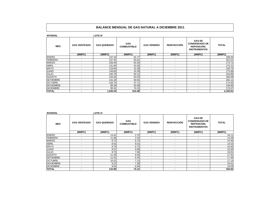| <b>INTEROIL</b>  |                          | <b>LOTE III</b>    |                                  |                          |                          |                                                                             |              |
|------------------|--------------------------|--------------------|----------------------------------|--------------------------|--------------------------|-----------------------------------------------------------------------------|--------------|
| <b>MES</b>       | <b>GAS VENTEADO</b>      | <b>GAS QUEMADO</b> | <b>GAS</b><br><b>COMBUSTIBLE</b> | <b>GAS VENDIDO</b>       | <b>REINYECCIÓN</b>       | <b>GAS DE</b><br><b>CONDENSADO DE</b><br>REPOSICIÓN,<br><b>INSTRUMENTOS</b> | <b>TOTAL</b> |
|                  | (MMPC)                   | (MMPC)             | (MMPC)                           | (MMPC)                   | (MMPC)                   | (MMPC)                                                                      | (MMPC)       |
| <b>ENERO</b>     | $\overline{\phantom{a}}$ | 137.43             | 61.77                            | ٠                        | $\overline{\phantom{a}}$ | $\overline{\phantom{a}}$                                                    | 199.20       |
| <b>FEBRERO</b>   | $\overline{\phantom{a}}$ | 137.91             | 63.61                            | $\overline{\phantom{a}}$ | $\overline{\phantom{a}}$ | ٠                                                                           | 201.51       |
| <b>MARZO</b>     | $\sim$                   | 109.45             | 64.26                            | $\sim$                   | $\blacksquare$           | $\overline{\phantom{0}}$                                                    | 173.71       |
| <b>ABRIL</b>     | $\sim$                   | 131.85             | 43.36                            | $\sim$                   | $\overline{\phantom{a}}$ | $\overline{\phantom{0}}$                                                    | 175.21       |
| <b>MAYO</b>      | $\overline{\phantom{a}}$ | 119.64             | 31.09                            | ٠                        | $\blacksquare$           | $\overline{\phantom{a}}$                                                    | 150.74       |
| <b>JUNIO</b>     | $\overline{\phantom{a}}$ | 149.60             | 24.39                            | $\overline{\phantom{a}}$ | $\overline{\phantom{a}}$ | $\overline{\phantom{a}}$                                                    | 173.99       |
| <b>JULIO</b>     | $\sim$                   | 184.76             | 50.12                            | $\sim$                   | $\blacksquare$           | $\overline{\phantom{0}}$                                                    | 234.88       |
| <b>AGOSTO</b>    | $\overline{\phantom{a}}$ | 126.55             | 53.53                            | ٠                        | $\blacksquare$           | $\overline{\phantom{a}}$                                                    | 180.08       |
| <b>SETIEMBRE</b> | $\overline{\phantom{a}}$ | 131.20             | 50.91                            | $\overline{a}$           | $\overline{\phantom{a}}$ | $\overline{\phantom{0}}$                                                    | 182.11       |
| <b>OCTUBRE</b>   | $\overline{\phantom{a}}$ | 126.75             | 47.71                            | $\overline{\phantom{a}}$ | $\overline{\phantom{a}}$ | $\overline{\phantom{0}}$                                                    | 174.45       |
| <b>NOVIEMBRE</b> | $\overline{\phantom{a}}$ | 89.38              | 50.58                            | $\overline{\phantom{a}}$ | $\overline{\phantom{a}}$ | ۰                                                                           | 139.96       |
| <b>DICIEMBRE</b> | $\sim$                   | 95.91              | 74.15                            | $\overline{\phantom{a}}$ | $\overline{\phantom{a}}$ | $\overline{\phantom{0}}$                                                    | 170.07       |
| <b>TOTAL</b>     | ٠                        | 1,540.44           | 615.48                           | $\overline{\phantom{0}}$ | $\blacksquare$           |                                                                             | 2,155.91     |

| <b>INTEROIL</b>  |                          | <b>LOTE IV</b>     |                                  |                          |                          |                                                                             |              |
|------------------|--------------------------|--------------------|----------------------------------|--------------------------|--------------------------|-----------------------------------------------------------------------------|--------------|
| <b>MES</b>       | <b>GAS VENTEADO</b>      | <b>GAS QUEMADO</b> | <b>GAS</b><br><b>COMBUSTIBLE</b> | <b>GAS VENDIDO</b>       | <b>REINYECCIÓN</b>       | <b>GAS DE</b><br><b>CONDENSADO DE</b><br>REPOSICIÓN,<br><b>INSTRUMENTOS</b> | <b>TOTAL</b> |
|                  | (MMPC)                   | (MMPC)             | (MMPC)                           | (MMPC)                   | (MMPC)                   | (MMPC)                                                                      | (MMPC)       |
| <b>ENERO</b>     | $\overline{\phantom{a}}$ | 13.41              | 2.70                             | ٠                        | $\overline{\phantom{a}}$ | ٠                                                                           | 16.11        |
| <b>FEBRERO</b>   | $\overline{\phantom{a}}$ | 11.85              | 2.43                             | ٠                        | $\overline{\phantom{a}}$ | ۰                                                                           | 14.28        |
| <b>MARZO</b>     | $\overline{\phantom{a}}$ | 8.72               | 6.74                             | ۰                        |                          | ٠                                                                           | 15.46        |
| <b>ABRIL</b>     | $\sim$                   | 8.52               | 6.01                             | $\sim$                   | $\overline{a}$           | $\overline{\phantom{0}}$                                                    | 14.53        |
| <b>MAYO</b>      | $\overline{\phantom{a}}$ | 9.74               | 6.72                             | $\overline{\phantom{0}}$ | $\overline{\phantom{a}}$ | $\overline{\phantom{0}}$                                                    | 16.46        |
| <b>JUNIO</b>     | $\overline{\phantom{a}}$ | 9.57               | 5.99                             | $\sim$                   | $\overline{\phantom{a}}$ | $\overline{\phantom{0}}$                                                    | 15.56        |
| <b>JULIO</b>     | $\overline{\phantom{a}}$ | 9.75               | 7.06                             | $\overline{\phantom{a}}$ | $\overline{\phantom{a}}$ | ٠                                                                           | 16.81        |
| <b>AGOSTO</b>    | $\sim$                   | 11.35              | 6.56                             | $\sim$                   | $\overline{a}$           | $\overline{\phantom{0}}$                                                    | 17.91        |
| <b>SETIEMBRE</b> | $\overline{\phantom{a}}$ | 11.01              | 6.45                             | $\sim$                   | $\overline{\phantom{a}}$ | $\overline{\phantom{0}}$                                                    | 17.46        |
| <b>OCTUBRE</b>   | ٠                        | 10.01              | 7.13                             | $\overline{\phantom{0}}$ | $\overline{\phantom{0}}$ | $\overline{\phantom{0}}$                                                    | 17.14        |
| <b>NOVIEMBRE</b> | $\sim$                   | 9.22               | 7.39                             | $\sim$                   | $\overline{\phantom{a}}$ | $\overline{\phantom{a}}$                                                    | 16.61        |
| <b>DICIEMBRE</b> | $\sim$                   | 9.64               | 6.94                             | $\sim$                   | $\overline{a}$           | $\overline{\phantom{a}}$                                                    | 16.59        |
| <b>TOTAL</b>     | ۰                        | 122.80             | 72.12                            | $\overline{\phantom{0}}$ | $\overline{\phantom{a}}$ | $\overline{\phantom{0}}$                                                    | 194.92       |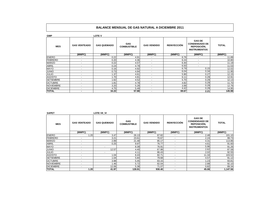| <b>GMP</b>       |                          | <b>LOTE V</b>      |                                  |                          |                    |                                                                             |              |
|------------------|--------------------------|--------------------|----------------------------------|--------------------------|--------------------|-----------------------------------------------------------------------------|--------------|
| <b>MES</b>       | <b>GAS VENTEADO</b>      | <b>GAS QUEMADO</b> | <b>GAS</b><br><b>COMBUSTIBLE</b> | <b>GAS VENDIDO</b>       | <b>REINYECCIÓN</b> | <b>GAS DE</b><br><b>CONDENSADO DE</b><br>REPOSICIÓN.<br><b>INSTRUMENTOS</b> | <b>TOTAL</b> |
|                  | (MMPC)                   | (MMPC)             | (MMPC)                           | (MMPC)                   | (MMPC)             | (MMPC)                                                                      | (MMPC)       |
| <b>ENERO</b>     | $\overline{\phantom{a}}$ | 0.22               | 4.91                             |                          | 6.76               | $\overline{\phantom{a}}$                                                    | 11.89        |
| <b>FEBRERO</b>   | $\overline{\phantom{0}}$ | 0.20               | 4.36                             | $\overline{a}$           | 6.24               | $\overline{\phantom{a}}$                                                    | 10.80        |
| <b>MARZO</b>     | $\overline{\phantom{0}}$ | 0.22               | 4.57                             | $\overline{\phantom{a}}$ | 6.40               | $\overline{\phantom{a}}$                                                    | 11.19        |
| <b>ABRIL</b>     | ۰                        | 0.24               | 4.79                             | $\overline{\phantom{0}}$ | 6.50               | $\overline{\phantom{a}}$                                                    | 11.53        |
| <b>MAYO</b>      | $\overline{\phantom{0}}$ | 0.16               | 4.92                             | $\overline{a}$           | 6.79               | 0.15                                                                        | 12.02        |
| <b>JUNIO</b>     | $\overline{\phantom{a}}$ | 0.73               | 4.84                             | $\overline{\phantom{a}}$ | 6.04               | 0.34                                                                        | 11.95        |
| <b>JULIO</b>     | $\overline{\phantom{0}}$ | .37                | 4.61                             | ۰                        | 5.90               | 0.27                                                                        | 12.15        |
| <b>AGOSTO</b>    | $\overline{\phantom{0}}$ | .70 <sub>l</sub>   | 4.81                             | $\sim$                   | 6.11               | 0.29                                                                        | 12.91        |
| <b>SETIEMBRE</b> | $\overline{\phantom{0}}$ | 1.62               | 4.52                             | $\overline{a}$           | 5.70               | 0.29                                                                        | 12.13        |
| <b>OCTUBRE</b>   | $\overline{\phantom{0}}$ | .81                | 4.78                             | $\overline{\phantom{a}}$ | 4.82               | 0.29                                                                        | 11.70        |
| <b>NOVIEMBRE</b> | $\overline{\phantom{0}}$ | 3.20               | 5.28                             | $\overline{\phantom{a}}$ | 3.99               | 0.29                                                                        | 12.76        |
| <b>DICIEMBRE</b> | ٠                        | 4.75               | 5.49                             | $\sim$                   | 4.42               | 0.29                                                                        | 14.95        |
| <b>TOTAL</b>     |                          | 16.22              | 57.88                            | $\overline{a}$           | 69.67              | 2.21                                                                        | 145.98       |

**SAPET LOTE VII\_VI**

| <b>MES</b>       | <b>GAS VENTEADO</b>      | <b>GAS QUEMADO</b> | <b>GAS</b><br><b>COMBUSTIBLE</b> | <b>GAS VENDIDO</b> | <b>REINYECCIÓN</b>       | <b>GAS DE</b><br><b>CONDENSADO DE</b><br>REPOSICIÓN,<br><b>INSTRUMENTOS</b> | <b>TOTAL</b> |
|------------------|--------------------------|--------------------|----------------------------------|--------------------|--------------------------|-----------------------------------------------------------------------------|--------------|
|                  | (MMPC)                   | (MMPC)             | (MMPC)                           | (MMPC)             | (MMPC)                   | (MMPC)                                                                      | (MMPC)       |
| <b>ENERO</b>     | .20 <sub>l</sub>         | 3.47               | 26.13                            | 67.82              |                          | 2.48                                                                        | 101.10       |
| <b>FEBRERO</b>   | -                        | 3.21               | 23.61                            | 70.67              |                          | 2.24                                                                        | 99.73        |
| <b>MARZO</b>     | ٠                        | 2.89               | 21.48                            | 85.17              |                          | 4.31                                                                        | 113.86       |
| <b>ABRIL</b>     | $\overline{\phantom{0}}$ | 0.25               | 9.97                             | 76.77              |                          | 4.61                                                                        | 91.60        |
| <b>MAYO</b>      | ۰                        | ٠                  | 8.39                             | 76.91              | -                        | 5.96                                                                        | 91.26        |
| <b>JUNIO</b>     | $\overline{\phantom{0}}$ | 12.57              | 4.40                             | 67.98              | $\overline{\phantom{0}}$ | 2.62                                                                        | 87.58        |
| <b>JULIO</b>     | -                        |                    | 4.11                             | 86.43              | $\overline{\phantom{0}}$ | 2.02                                                                        | 92.55        |
| <b>AGOSTO</b>    | $\overline{\phantom{0}}$ | 1.04               | 8.43                             | 82.71              | $\overline{\phantom{0}}$ | 11.34                                                                       | 103.52       |
| <b>SETIEMBRE</b> | $\overline{\phantom{0}}$ | 1.04               | 5.84                             | 79.68              | -                        | 4.57                                                                        | 91.12        |
| <b>OCTUBRE</b>   | ۰                        | 3.98               | 5.45                             | 83.15              | ٠                        | 1.23                                                                        | 93.81        |
| <b>NOVIEMBRE</b> | ٠                        | 1.46               | 5.72                             | 82.04              | ٠                        | 2.88                                                                        | 92.10        |
| <b>DICIEMBRE</b> | $\overline{a}$           | 12.06              | 5.38                             | 71.07              | $\overline{a}$           | 0.82                                                                        | 89.34        |
| <b>TOTAL</b>     | 1.20                     | 41.97              | 128.91                           | 930.40             |                          | 45.08                                                                       | 1,147.56     |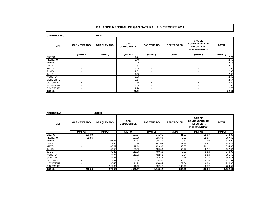| <b>UNIPETRO ABC</b> |                          | <b>LOTE IX</b>           |                                  |                          |                    |                                                                             |              |
|---------------------|--------------------------|--------------------------|----------------------------------|--------------------------|--------------------|-----------------------------------------------------------------------------|--------------|
| <b>MES</b>          | <b>GAS VENTEADO</b>      | <b>GAS QUEMADO</b>       | <b>GAS</b><br><b>COMBUSTIBLE</b> | <b>GAS VENDIDO</b>       | <b>REINYECCIÓN</b> | <b>GAS DE</b><br><b>CONDENSADO DE</b><br>REPOSICIÓN,<br><b>INSTRUMENTOS</b> | <b>TOTAL</b> |
|                     | (MMPC)                   | (MMPC)                   | (MMPC)                           | (MMPC)                   | (MMPC)             | (MMPC)                                                                      | (MMPC)       |
| <b>ENERO</b>        | $\overline{\phantom{a}}$ | $\overline{\phantom{a}}$ | 2.74                             | $\overline{a}$           | $\blacksquare$     | $\sim$                                                                      | 2.74         |
| <b>FEBRERO</b>      | $\sim$                   | $\overline{\phantom{a}}$ | 2.48                             | $\sim$                   | $\blacksquare$     | $\sim$                                                                      | 2.48         |
| <b>MARZO</b>        | ٠                        | $\overline{\phantom{a}}$ | 2.76                             | $\overline{\phantom{a}}$ | ٠                  | ٠                                                                           | 2.76         |
| <b>ABRIL</b>        | $\sim$                   | $\sim$                   | 2.62                             | $\sim$                   | $\sim$             | $\sim$                                                                      | 2.62         |
| <b>MAYO</b>         | $\sim$                   | $\overline{\phantom{a}}$ | 2.68                             | $\overline{\phantom{a}}$ | $\blacksquare$     | $\sim$                                                                      | 2.68         |
| <b>JUNIO</b>        | $\overline{\phantom{a}}$ | $\overline{a}$           | 2.69                             | $\overline{\phantom{a}}$ | $\blacksquare$     | $\sim$                                                                      | 2.69         |
| <b>JULIO</b>        | $\sim$                   | $\overline{\phantom{a}}$ | 2.68                             | $\overline{\phantom{a}}$ | $\blacksquare$     | $\sim$                                                                      | 2.68         |
| <b>AGOSTO</b>       | $\blacksquare$           | $\overline{\phantom{a}}$ | 2.63                             | $\overline{\phantom{0}}$ | $\blacksquare$     | $\sim$                                                                      | 2.63         |
| <b>SETIEMBRE</b>    | $\overline{\phantom{a}}$ | $\overline{\phantom{a}}$ | 2.67                             | $\overline{\phantom{a}}$ | $\blacksquare$     | $\overline{\phantom{a}}$                                                    | 2.67         |
| <b>OCTUBRE</b>      | $\sim$                   | $\overline{\phantom{a}}$ | 2.69                             | $\sim$                   | $\blacksquare$     | $\sim$                                                                      | 2.69         |
| <b>NOVIEMBRE</b>    | $\sim$                   | $\overline{\phantom{a}}$ | 2.68                             | $\overline{\phantom{a}}$ | $\sim$             | $\sim$                                                                      | 2.68         |
| <b>DICIEMBRE</b>    | $\sim$                   | $\blacksquare$           | 2.70                             | $\sim$                   | $\sim$             | $\sim$                                                                      | 2.70         |
| <b>TOTAL</b>        | $\overline{\phantom{a}}$ | $\overline{\phantom{a}}$ | 32.01                            | $\overline{\phantom{a}}$ | $\blacksquare$     | $\sim$                                                                      | 32.01        |

| <b>PETROBRAS</b> |                          | <b>LOTE X</b>            |                                  |                    |                    |                                                                             |              |
|------------------|--------------------------|--------------------------|----------------------------------|--------------------|--------------------|-----------------------------------------------------------------------------|--------------|
| <b>MES</b>       | <b>GAS VENTEADO</b>      | <b>GAS QUEMADO</b>       | <b>GAS</b><br><b>COMBUSTIBLE</b> | <b>GAS VENDIDO</b> | <b>REINYECCIÓN</b> | <b>GAS DE</b><br><b>CONDENSADO DE</b><br>REPOSICIÓN.<br><b>INSTRUMENTOS</b> | <b>TOTAL</b> |
|                  | (MMPC)                   | (MMPC)                   | (MMPC)                           | (MMPC)             | (MMPC)             | (MMPC)                                                                      | (MMPC)       |
| <b>ENERO</b>     | 133.30                   |                          | 127.24                           | 341.01             | 21.30              | 22.03                                                                       | 644.88       |
| <b>FEBRERO</b>   | 92.56                    | $\overline{\phantom{a}}$ | 127.38                           | 335.39             | 9.32               | 22.97                                                                       | 587.62       |
| <b>MARZO</b>     | ۰                        | 102.95                   | 112.62                           | 395.79             | 9.67               | 21.99                                                                       | 643.02       |
| <b>ABRIL</b>     | $\blacksquare$           | 86.62                    | 102.55                           | 391.04             | 48.14              | 20.51                                                                       | 648.86       |
| <b>MAYO</b>      | ٠                        | 87.61                    | 112.13                           | 439.50             | 43.09              | 12.11                                                                       | 694.45       |
| <b>JUNIO</b>     | $\blacksquare$           | 88.53                    | 105.39                           | 409.83             | 55.17              | 3.12                                                                        | 662.04       |
| JULIO            | $\overline{\phantom{a}}$ | 85.43                    | 112.33                           | 469.18             | 9.63               | 1.52                                                                        | 678.08       |
| <b>AGOSTO</b>    | $\blacksquare$           | 85.44                    | 112.31                           | 482.52             | 9.64               | 1.52                                                                        | 691.43       |
| <b>SETIEMBRE</b> | $\overline{\phantom{a}}$ | 51.21                    | 99.81                            | 462.77             | 54.54              | 0.18                                                                        | 668.51       |
| <b>OCTUBRE</b>   | $\blacksquare$           | 71.42                    | 100.38                           | 454.55             | 84.51              | 0.16                                                                        | 711.01       |
| <b>NOVIEMBRE</b> | $\blacksquare$           | 90.48                    | 111.21                           | 434.04             | 77.64              | 0.06                                                                        | 713.43       |
| <b>DICIEMBRE</b> | ٠                        | 125.86                   | 110.02                           | 332.97             | 160.95             | 9.77                                                                        | 739.57       |
| <b>TOTAL</b>     | 225.86                   | 875.54                   | 1,333.37                         | 4,948.62           | 583.59             | 115.92                                                                      | 8.082.91     |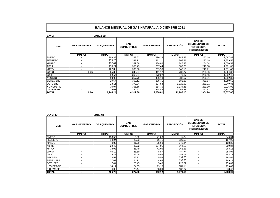| <b>SAVIA</b>     |                          | LOTE Z-2B          |                                  |                    |                    |                                                                                    |              |
|------------------|--------------------------|--------------------|----------------------------------|--------------------|--------------------|------------------------------------------------------------------------------------|--------------|
| <b>MES</b>       | <b>GAS VENTEADO</b>      | <b>GAS QUEMADO</b> | <b>GAS</b><br><b>COMBUSTIBLE</b> | <b>GAS VENDIDO</b> | <b>REINYECCIÓN</b> | <b>GAS DE</b><br><b>CONDENSADO DE</b><br><b>REPOSICIÓN,</b><br><b>INSTRUMENTOS</b> | <b>TOTAL</b> |
|                  | (MMPC)                   | (MMPC)             | (MMPC)                           | (MMPC)             | (MMPC)             | (MMPC)                                                                             | (MMPC)       |
| <b>ENERO</b>     |                          | 209.38             | 362.62                           | 296.38             | 949.33             | 250.19                                                                             | 2,067.89     |
| <b>FEBRERO</b>   | $\sim$                   | 179.23             | 331.11                           | 311.11             | 807.91             | 230.19                                                                             | ,859.55      |
| <b>MARZO</b>     | $\sim$                   | 192.47             | 359.68                           | 388.06             | 846.33             | 264.04                                                                             | 2,050.57     |
| <b>ABRIL</b>     | $\overline{\phantom{a}}$ | 178.21             | 353.49                           | 307.44             | 883.05             | 248.88                                                                             | 1,971.07     |
| <b>MAYO</b>      | $\overline{\phantom{0}}$ | 102.80             | 360.30                           | 359.53             | 847.16             | 241.71                                                                             | 1,911.49     |
| <b>JUNIO</b>     | 0.26                     | 85.36              | 349.97                           | 411.12             | 788.77             | 228.86                                                                             | ,864.32      |
| <b>JULIO</b>     | $\overline{\phantom{0}}$ | 98.14              | 362.27                           | 372.22             | 879.37             | 220.46                                                                             | ,932.46      |
| <b>AGOSTO</b>    |                          | 94.90              | 357.79                           | 436.13             | 882.57             | 220.91                                                                             | ,992.30      |
| <b>SETIEMBRE</b> | $\overline{\phantom{a}}$ | 29.57              | 353.11                           | 375.71             | 882.57             | 339.64                                                                             | ,980.60      |
| <b>OCTUBRE</b>   | $\sim$                   | 28.11              | 372.04                           | 297.88             | ,120.53            | 231.31                                                                             | 2,049.86     |
| <b>NOVIEMBRE</b> | $\overline{\phantom{a}}$ | 30.07              | 365.66                           | 264.75             | 1,134.35           | 231.10                                                                             | 2,025.93     |
| <b>DICIEMBRE</b> | $\blacksquare$           | 16.01              | 384.27                           | 218.49             | ,265.23            | 247.63                                                                             | 2,131.63     |
| <b>TOTAL</b>     | 0.26                     | 1,244.24           | 4,312.30                         | 4,038.81           | 11,287.16          | 2,954.90                                                                           | 23,837.66    |

| <b>OLYMPIC</b>   |                          | <b>LOTE XIII</b>   |                                  |                    |                    |                                                                                    |              |
|------------------|--------------------------|--------------------|----------------------------------|--------------------|--------------------|------------------------------------------------------------------------------------|--------------|
| <b>MES</b>       | <b>GAS VENTEADO</b>      | <b>GAS QUEMADO</b> | <b>GAS</b><br><b>COMBUSTIBLE</b> | <b>GAS VENDIDO</b> | <b>REINYECCIÓN</b> | <b>GAS DE</b><br><b>CONDENSADO DE</b><br><b>REPOSICIÓN.</b><br><b>INSTRUMENTOS</b> | <b>TOTAL</b> |
|                  | (MMPC)                   | (MMPC)             | (MMPC)                           | (MMPC)             | (MMPC)             | (MMPC)                                                                             | (MMPC)       |
| <b>ENERO</b>     | -                        | 158.55             | 5.92                             | 41.08              | 43.79              | $\overline{\phantom{0}}$                                                           | 249.34       |
| <b>FEBRERO</b>   | $\overline{\phantom{a}}$ | 19.24              | 22.33                            | 16.71              | 129.68             | $\blacksquare$                                                                     | 187.95       |
| <b>MARZO</b>     | $\overline{\phantom{a}}$ | 0.88               | 21.99                            | 25.68              | 149.84             | $\overline{\phantom{a}}$                                                           | 198.38       |
| <b>ABRIL</b>     | $\overline{\phantom{a}}$ | 22.42              | 22.32                            | 104.01             | 151.09             | $\overline{\phantom{0}}$                                                           | 299.84       |
| <b>MAYO</b>      | $\overline{\phantom{a}}$ | 33.03              | 26.49                            | 42.05              | 161.58             | ٠                                                                                  | 263.15       |
| <b>JUNIO</b>     | $\overline{\phantom{a}}$ | 40.19              | 25.60                            | 8.87               | 180.29             | $\overline{\phantom{0}}$                                                           | 254.94       |
| <b>JULIO</b>     | $\overline{\phantom{a}}$ | 39.22              | 26.45                            | 5.92               | 182.13             | $\overline{\phantom{a}}$                                                           | 253.72       |
| <b>AGOSTO</b>    | -                        | 38.52              | 26.32                            | 5.53               | 194.28             | -                                                                                  | 264.65       |
| <b>SETIEMBRE</b> | $\overline{\phantom{a}}$ | 27.02              | 24.11                            | 4.65               | 193.33             | $\overline{\phantom{a}}$                                                           | 249.11       |
| <b>OCTUBRE</b>   | ٠                        | 7.44               | 25.45                            | 5.48               | 220.72             | $\blacksquare$                                                                     | 259.09       |
| <b>NOVIEMBRE</b> | $\overline{\phantom{0}}$ | 14.17              | 24.55                            | 19.15              | 181.55             | $\overline{\phantom{a}}$                                                           | 239.42       |
| <b>DICIEMBRE</b> | $\overline{\phantom{0}}$ | 6.08               | 26.44                            | 63.00              | 182.87             | $\overline{\phantom{a}}$                                                           | 278.40       |
| <b>TOTAL</b>     | ۰                        | 406.76             | 277.98                           | 342.12             | 1,971.14           |                                                                                    | 2,998.00     |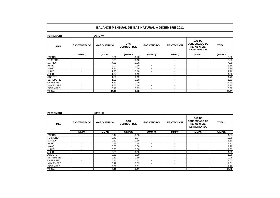| <b>PETROMONT</b> |                          | <b>LOTE XV</b>     |                           |                          |                          |                                                                             |              |
|------------------|--------------------------|--------------------|---------------------------|--------------------------|--------------------------|-----------------------------------------------------------------------------|--------------|
| <b>MES</b>       | <b>GAS VENTEADO</b>      | <b>GAS QUEMADO</b> | GAS<br><b>COMBUSTIBLE</b> | <b>GAS VENDIDO</b>       | <b>REINYECCIÓN</b>       | <b>GAS DE</b><br><b>CONDENSADO DE</b><br>REPOSICIÓN,<br><b>INSTRUMENTOS</b> | <b>TOTAL</b> |
|                  | (MMPC)                   | (MMPC)             | (MMPC)                    | (MMPC)                   | (MMPC)                   | (MMPC)                                                                      | (MMPC)       |
| <b>ENERO</b>     | ٠                        | 5.76               | 0.20                      | $\blacksquare$           | ٠                        | $\overline{\phantom{a}}$                                                    | 5.96         |
| <b>FEBRERO</b>   | $\sim$                   | 5.05               | 0.18                      | $\blacksquare$           | $\overline{\phantom{a}}$ | $\overline{\phantom{a}}$                                                    | 5.23         |
| <b>MARZO</b>     | -                        | 4.65               | 0.20                      | $\overline{\phantom{a}}$ | ٠                        | $\overline{\phantom{0}}$                                                    | 4.85         |
| <b>ABRIL</b>     | $\overline{a}$           | 2.97               | 0.19                      | $\overline{\phantom{a}}$ | $\overline{\phantom{a}}$ | ۰                                                                           | 3.16         |
| <b>MAYO</b>      | $\sim$                   | 2.14               | 0.20                      | $\blacksquare$           | $\sim$                   | $\sim$                                                                      | 2.34         |
| <b>JUNIO</b>     | ٠                        | 1.98               | 0.18                      | $\overline{\phantom{a}}$ | ٠                        | $\overline{\phantom{0}}$                                                    | 2.16         |
| <b>JULIO</b>     | $\overline{\phantom{a}}$ | .74                | 0.19                      | $\overline{\phantom{a}}$ | $\overline{\phantom{a}}$ | $\overline{\phantom{0}}$                                                    | 1.92         |
| <b>AGOSTO</b>    | $\sim$                   | 1.60               | 0.19                      | $\blacksquare$           | ٠                        | $\overline{\phantom{0}}$                                                    | 1.78         |
| <b>SETIEMBRE</b> | $\overline{a}$           | .35                | 0.18                      | $\blacksquare$           | $\overline{\phantom{a}}$ | $\overline{a}$                                                              | 1.53         |
| <b>OCTUBRE</b>   | $\sim$                   | .21                | 0.19                      | $\overline{\phantom{a}}$ | $\sim$                   | $\sim$                                                                      | 1.40         |
| <b>NOVIEMBRE</b> | $\overline{\phantom{a}}$ | 2.52               | 0.18                      | $\overline{\phantom{a}}$ | ٠                        | $\overline{\phantom{a}}$                                                    | 2.70         |
| <b>DICIEMBRE</b> | $\overline{a}$           | 3.19               | 0.19                      | $\overline{a}$           | $\overline{a}$           | $\overline{\phantom{0}}$                                                    | 3.38         |
| <b>TOTAL</b>     | $\blacksquare$           | 34.16              | 2.25                      | $\blacksquare$           | ۰                        | ٠                                                                           | 36.41        |

| <b>PETROMONT</b> |                          | <b>LOTE XX</b>     |                                  |                          |                          |                                                                             |              |
|------------------|--------------------------|--------------------|----------------------------------|--------------------------|--------------------------|-----------------------------------------------------------------------------|--------------|
| <b>MES</b>       | <b>GAS VENTEADO</b>      | <b>GAS QUEMADO</b> | <b>GAS</b><br><b>COMBUSTIBLE</b> | <b>GAS VENDIDO</b>       | <b>REINYECCIÓN</b>       | <b>GAS DE</b><br><b>CONDENSADO DE</b><br>REPOSICIÓN,<br><b>INSTRUMENTOS</b> | <b>TOTAL</b> |
|                  | (MMPC)                   | (MMPC)             | (MMPC)                           | (MMPC)                   | (MMPC)                   | (MMPC)                                                                      | (MMPC)       |
| <b>ENERO</b>     | $\sim$                   | 0.47               | 0.60                             |                          |                          |                                                                             | 1.07         |
| <b>FEBRERO</b>   | $\tilde{\phantom{a}}$    | 0.42               | 0.54                             | $\sim$                   | $\overline{\phantom{0}}$ | $\overline{a}$                                                              | 0.96         |
| <b>MARZO</b>     | $\sim$                   | 0.50               | 0.60                             | $\sim$                   | $\overline{\phantom{a}}$ |                                                                             | 1.10         |
| <b>ABRIL</b>     | -                        | 0.54               | 0.58                             | $\overline{\phantom{a}}$ | ٠                        | $\overline{\phantom{a}}$                                                    | 1.12         |
| <b>MAYO</b>      | $\sim$                   | 0.68               | 0.60                             | $\overline{\phantom{a}}$ | $\overline{\phantom{a}}$ | $\overline{\phantom{0}}$                                                    | 1.28         |
| <b>JUNIO</b>     | $\overline{a}$           | 0.75               | 0.58                             | $\sim$                   | $\overline{\phantom{a}}$ | ۰                                                                           | 1.33         |
| <b>JULIO</b>     | $\sim$                   | 0.68               | 0.60                             | $\overline{\phantom{a}}$ | $\overline{a}$           | $\overline{a}$                                                              | 1.28         |
| <b>AGOSTO</b>    | $\sim$                   | 0.68               | 0.60                             | $\overline{\phantom{a}}$ | $\overline{\phantom{0}}$ | $\overline{\phantom{a}}$                                                    | 1.28         |
| <b>SETIEMBRE</b> | $\sim$                   | 0.39               | 0.59                             | $\overline{\phantom{a}}$ | $\overline{\phantom{a}}$ | $\overline{\phantom{a}}$                                                    | 0.98         |
| <b>OCTUBRE</b>   | $\overline{a}$           | 0.42               | 0.61                             | $\overline{\phantom{a}}$ | $\overline{\phantom{a}}$ | $\overline{\phantom{0}}$                                                    | 1.03         |
| <b>NOVIEMBRE</b> | $\overline{\phantom{0}}$ | 0.42               | 0.59                             | $\overline{\phantom{a}}$ | $\overline{\phantom{a}}$ | ٠                                                                           | 1.01         |
| <b>DICIEMBRE</b> |                          | 0.51               | 0.61                             |                          |                          |                                                                             | 1.12         |
| <b>TOTAL</b>     |                          | 6.46               | 7.11                             | $\overline{\phantom{a}}$ | $\overline{\phantom{a}}$ | $\overline{\phantom{a}}$                                                    | 13.56        |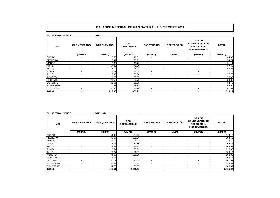| <b>PLUSPETROL NORTE</b> |                          | LOTE 8             |                                  |                          |                          |                                                                                    |              |  |
|-------------------------|--------------------------|--------------------|----------------------------------|--------------------------|--------------------------|------------------------------------------------------------------------------------|--------------|--|
| <b>MES</b>              | <b>GAS VENTEADO</b>      | <b>GAS QUEMADO</b> | <b>GAS</b><br><b>COMBUSTIBLE</b> | <b>GAS VENDIDO</b>       | <b>REINYECCIÓN</b>       | <b>GAS DE</b><br><b>CONDENSADO DE</b><br><b>REPOSICIÓN.</b><br><b>INSTRUMENTOS</b> | <b>TOTAL</b> |  |
|                         | (MMPC)                   | (MMPC)             | (MMPC)                           | (MMPC)                   | (MMPC)                   | (MMPC)                                                                             | (MMPC)       |  |
| <b>ENERO</b>            | $\overline{\phantom{a}}$ | 17.58              | 46.81                            | $\sim$                   | $\overline{a}$           | $\sim$                                                                             | 64.39        |  |
| <b>FEBRERO</b>          | $\sim$                   | 16.41              | 38.31                            | $\sim$                   | $\blacksquare$           | $\sim$                                                                             | 54.71        |  |
| <b>MARZO</b>            | $\overline{\phantom{a}}$ | 12.33              | 48.79                            | $\sim$                   | $\overline{\phantom{a}}$ | $\sim$                                                                             | 61.11        |  |
| ABRIL                   | $\overline{\phantom{a}}$ | 17.36              | 40.30                            | $\sim$                   | $\overline{a}$           | $\overline{\phantom{0}}$                                                           | 57.66        |  |
| MAYO                    | $\overline{\phantom{a}}$ | 12.72              | 46.93                            | $\sim$                   | $\overline{\phantom{a}}$ | $\sim$                                                                             | 59.65        |  |
| <b>JUNIO</b>            | $\sim$                   | 11.09              | 46.05                            | $\sim$                   | $\sim$                   | $\sim$                                                                             | 57.13        |  |
| <b>JULIO</b>            | $\overline{\phantom{a}}$ | 6.99               | 50.80                            | $\sim$                   | $\overline{\phantom{a}}$ | $\sim$                                                                             | 57.79        |  |
| <b>AGOSTO</b>           | $\overline{\phantom{a}}$ | 21.28              | 35.67                            | $\overline{a}$           | $\overline{a}$           | $\overline{\phantom{0}}$                                                           | 56.95        |  |
| <b>SETIEMBRE</b>        | $\overline{\phantom{a}}$ | 21.58              | 32.72                            | $\overline{\phantom{a}}$ | $\overline{\phantom{a}}$ | $\overline{\phantom{a}}$                                                           | 54.30        |  |
| <b>OCTUBRE</b>          | $\sim$                   | 28.55              | 26.18                            | $\sim$                   | $\overline{a}$           | $\sim$                                                                             | 54.73        |  |
| <b>NOVIEMBRE</b>        | $\sim$                   | 30.23              | 25.81                            | $\overline{\phantom{a}}$ | $\overline{\phantom{a}}$ | $\sim$                                                                             | 56.04        |  |
| <b>DICIEMBRE</b>        | $\overline{\phantom{a}}$ | 30.88              | 30.94                            | $\sim$                   | $\overline{a}$           | $\sim$                                                                             | 61.82        |  |
| <b>TOTAL</b>            | $\overline{\phantom{a}}$ | 226.98             | 469.29                           | $\overline{\phantom{a}}$ | $\overline{\phantom{a}}$ |                                                                                    | 696.27       |  |

| <b>PLUSPETROL NORTE</b> |                          | <b>LOTE 1-AB</b>   |                                  |                          |                          |                                                                             |              |  |  |  |
|-------------------------|--------------------------|--------------------|----------------------------------|--------------------------|--------------------------|-----------------------------------------------------------------------------|--------------|--|--|--|
| <b>MES</b>              | <b>GAS VENTEADO</b>      | <b>GAS QUEMADO</b> | <b>GAS</b><br><b>COMBUSTIBLE</b> | <b>GAS VENDIDO</b>       | <b>REINYECCIÓN</b>       | <b>GAS DE</b><br><b>CONDENSADO DE</b><br>REPOSICIÓN,<br><b>INSTRUMENTOS</b> | <b>TOTAL</b> |  |  |  |
|                         | (MMPC)                   | (MMPC)             | (MMPC)                           | (MMPC)                   | (MMPC)                   | (MMPC)                                                                      | (MMPC)       |  |  |  |
| <b>ENERO</b>            | ۰                        | 34.94              | 184.20                           |                          |                          |                                                                             | 219.13       |  |  |  |
| <b>FEBRERO</b>          | $\tilde{\phantom{a}}$    | 30.67              | 163.86                           | $\sim$                   | $\overline{a}$           | $\overline{\phantom{a}}$                                                    | 194.52       |  |  |  |
| <b>MARZO</b>            | $\tilde{\phantom{a}}$    | 33.57              | 184.83                           | $\sim$                   | $\overline{\phantom{a}}$ | $\overline{\phantom{a}}$                                                    | 218.40       |  |  |  |
| <b>ABRIL</b>            | ۰                        | 34.05              | 172.80                           | $\sim$                   | $\overline{a}$           | $\overline{\phantom{a}}$                                                    | 206.85       |  |  |  |
| <b>MAYO</b>             | $\overline{\phantom{a}}$ | 29.82              | 174.25                           | $\overline{a}$           | $\overline{\phantom{a}}$ | $\overline{\phantom{a}}$                                                    | 204.07       |  |  |  |
| <b>JUNIO</b>            | ۰                        | 23.54              | 175.09                           | $\overline{\phantom{a}}$ |                          |                                                                             | 198.63       |  |  |  |
| <b>JULIO</b>            | ٠                        | 23.77              | 182.37                           |                          | $\overline{\phantom{a}}$ | ٠                                                                           | 206.14       |  |  |  |
| <b>AGOSTO</b>           | ۰                        | 34.68              | 158.65                           |                          |                          | -                                                                           | 193.33       |  |  |  |
| <b>SETIEMBRE</b>        | ۰                        | 56.06              | 141.71                           | $\overline{\phantom{a}}$ | $\overline{a}$           | $\overline{\phantom{a}}$                                                    | 197.77       |  |  |  |
| <b>OCTUBRE</b>          | ۰                        | 30.12              | 170.89                           | $\overline{\phantom{a}}$ | $\overline{\phantom{a}}$ | $\overline{\phantom{a}}$                                                    | 201.01       |  |  |  |
| <b>NOVIEMBRE</b>        | $\tilde{\phantom{a}}$    | 35.61              | 164.27                           | $\overline{\phantom{a}}$ | $\overline{\phantom{a}}$ | ٠                                                                           | 199.89       |  |  |  |
| <b>DICIEMBRE</b>        |                          | 54.70              | 130.97                           |                          |                          |                                                                             | 185.67       |  |  |  |
| <b>TOTAL</b>            | ۰.                       | 421.51             | 2.003.89                         | $\overline{a}$           | $\overline{a}$           |                                                                             | 2.425.40     |  |  |  |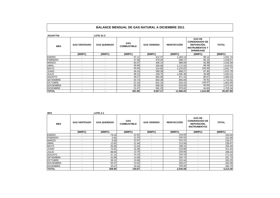| <b>AGUAYTIA</b>  |                          | <b>LOTE 31-C</b>         |                                  |                    |                    |                                                                                                   |              |  |
|------------------|--------------------------|--------------------------|----------------------------------|--------------------|--------------------|---------------------------------------------------------------------------------------------------|--------------|--|
| <b>MES</b>       | <b>GAS VENTEADO</b>      | <b>GAS QUEMADO</b>       | <b>GAS</b><br><b>COMBUSTIBLE</b> | <b>GAS VENDIDO</b> | <b>REINYECCIÓN</b> | <b>GAS DE</b><br><b>CONDENSADO DE</b><br>REPOSICIÓN,<br><b>INSTRUMENTOS Y</b><br><b>SHRINKAGE</b> | <b>TOTAL</b> |  |
|                  | (MMPC)                   | (MMPC)                   | (MMPC)                           | (MMPC)             | (MMPC)             | (MMPC)                                                                                            | (MMPC)       |  |
| <b>ENERO</b>     | $\overline{\phantom{a}}$ | $\overline{\phantom{a}}$ | 57.11                            | 412.37             | ,263.13            | 99.12                                                                                             | ,831.74      |  |
| FEBRERO          | ٠                        | $\overline{\phantom{a}}$ | 47.06                            | 579.20             | 838.17             | 85.15                                                                                             | ,549.57      |  |
| <b>MARZO</b>     | ٠                        | $\overline{\phantom{a}}$ | 50.07                            | 406.14             | 988.09             | 83.98                                                                                             | ,528.28      |  |
| ABRIL            | $\overline{a}$           | $\overline{a}$           | 49.90                            | 308.68             | 1,172.03           | 88.39                                                                                             | .619.01      |  |
| <b>MAYO</b>      | $\overline{a}$           | $\overline{a}$           | 55.84                            | 314.60             | .370.87            | 100.45                                                                                            | ,841.77      |  |
| <b>JUNIO</b>     | $\overline{a}$           | $\overline{a}$           | 49.24                            | 589.38             | 889.27             | 87.90                                                                                             | .615.79      |  |
| <b>JULIO</b>     | $\overline{\phantom{a}}$ | $\overline{\phantom{a}}$ | 99.12                            | 449.75             | 0.055.36           | 39.98                                                                                             | .644.21      |  |
| <b>AGOSTO</b>    | $\overline{\phantom{a}}$ | $\overline{a}$           | 49.27                            | 682.06             | 871.10             | 80.67                                                                                             | ,683.10      |  |
| <b>SETIEMBRE</b> | $\overline{\phantom{0}}$ | $\overline{\phantom{a}}$ | 50.73                            | 803.28             | 805.09             | 55.91                                                                                             | 15.01,       |  |
| <b>OCTUBRE</b>   | $\overline{a}$           | $\blacksquare$           | 51.53                            | 832.15             | 818.10             | 100.87                                                                                            | ,802.65      |  |
| <b>NOVIEMBRE</b> | $\overline{\phantom{a}}$ | $\overline{\phantom{a}}$ | 50.29                            | 608.30             | 919.00             | 95.84                                                                                             | ,673.44      |  |
| <b>DICIEMBRE</b> | $\overline{\phantom{a}}$ | $\overline{\phantom{a}}$ | 51.67                            | 581.25             | 975.82             | 94.60                                                                                             | ,703.34      |  |
| <b>TOTAL</b>     |                          |                          | 661.85                           | 6,567.17           | 11,966.03          | 1,012.86                                                                                          | 20,207.90    |  |

| <b>BPZ</b>       |                          | LOTE <sub>Z-1</sub> |                                  |                          |                    |                                                                             |              |  |
|------------------|--------------------------|---------------------|----------------------------------|--------------------------|--------------------|-----------------------------------------------------------------------------|--------------|--|
| <b>MES</b>       | <b>GAS VENTEADO</b>      | <b>GAS QUEMADO</b>  | <b>GAS</b><br><b>COMBUSTIBLE</b> | <b>GAS VENDIDO</b>       | <b>REINYECCIÓN</b> | <b>GAS DE</b><br><b>CONDENSADO DE</b><br>REPOSICIÓN,<br><b>INSTRUMENTOS</b> | <b>TOTAL</b> |  |
|                  | (MMPC)                   | (MMPC)              | (MMPC)                           | (MMPC)                   | (MMPC)             | (MMPC)                                                                      | (MMPC)       |  |
| <b>ENERO</b>     |                          | 79.16               | 12.81                            |                          | 218.06             |                                                                             | 310.04       |  |
| <b>FEBRERO</b>   | $\sim$                   | 5.60                | 11.53                            | $\overline{\phantom{a}}$ | 205.55             | $\overline{\phantom{a}}$                                                    | 222.68       |  |
| <b>MARZO</b>     | $\overline{\phantom{a}}$ | 6.59                | 12.67                            | $\overline{\phantom{a}}$ | 215.31             | $\overline{\phantom{a}}$                                                    | 234.57       |  |
| <b>ABRIL</b>     | $\overline{\phantom{a}}$ | 12.82               | 12.46                            | $\overline{\phantom{a}}$ | 213.58             | $\overline{a}$                                                              | 238.87       |  |
| <b>MAYO</b>      | $\overline{\phantom{0}}$ | 45.66               | 11.64                            |                          | 198.10             | $\overline{\phantom{a}}$                                                    | 255.40       |  |
| <b>JUNIO</b>     | ٠                        | 75.81               | 15.36                            |                          | 219.86             | $\overline{\phantom{a}}$                                                    | 311.04       |  |
| <b>JULIO</b>     | $\overline{\phantom{0}}$ | 88.60               | 13.76                            | $\overline{a}$           | 193.66             | $\overline{a}$                                                              | 296.03       |  |
| <b>AGOSTO</b>    | $\overline{\phantom{0}}$ | 37.14               | 14.22                            | $\overline{\phantom{0}}$ | 220.19             |                                                                             | 271.54       |  |
| <b>SETIEMBRE</b> | $\overline{\phantom{0}}$ | 42.89               | 13.09                            | ٠                        | 205.75             | $\overline{\phantom{0}}$                                                    | 261.73       |  |
| <b>OCTUBRE</b>   | $\sim$                   | 39.12               | 13.69                            | $\overline{\phantom{a}}$ | 210.44             | $\overline{\phantom{a}}$                                                    | 263.25       |  |
| <b>NOVIEMBRE</b> | $\overline{\phantom{0}}$ | 50.47               | 13.02                            | $\overline{\phantom{0}}$ | 200.07             | $\overline{\phantom{0}}$                                                    | 263.56       |  |
| <b>DICIEMBRE</b> | $\overline{\phantom{a}}$ | 25.07               | 15.62                            | $\overline{\phantom{a}}$ | 245.00             | $\overline{\phantom{a}}$                                                    | 285.70       |  |
| <b>TOTAL</b>     |                          | 508.95              | 159.87                           | ۰                        | 2.545.58           |                                                                             | 3.214.40     |  |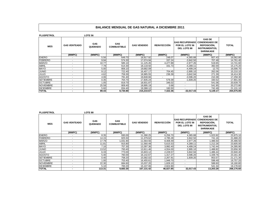| <b>PLUSPETROL</b> |                          | <b>LOTE 56</b>        |                                  |                    |                    |                                                                              |                                                                          |              |
|-------------------|--------------------------|-----------------------|----------------------------------|--------------------|--------------------|------------------------------------------------------------------------------|--------------------------------------------------------------------------|--------------|
| <b>MES</b>        | <b>GAS VENTEADO</b>      | GAS<br><b>QUEMADO</b> | <b>GAS</b><br><b>COMBUSTIBLE</b> | <b>GAS VENDIDO</b> | <b>REINYECCIÓN</b> | <b>GAS RECUPERADOI CONDENSADO DE</b><br>POR EL LOTE 56<br><b>DEL LOTE 88</b> | <b>GAS DE</b><br>REPOSICIÓN,<br><b>INSTRUMENTOS,</b><br><b>SHRINKAGE</b> | <b>TOTAL</b> |
|                   | (MMPC)                   | (MMPC)                | (MMPC)                           | (MMPC)             | (MMPC)             | (MMPC)                                                                       | (MMPC)                                                                   | (MMPC)       |
| <b>ENERO</b>      |                          | 5.56                  | 649.70                           | 18,917.92          | 248.07             | $-4,365.88$                                                                  | 607.43                                                                   | 16,062.80    |
| <b>FEBRERO</b>    | $\overline{\phantom{a}}$ | 9.94                  | 574.30                           | 17,074.94          | 337.24             | $-3,942.50$                                                                  | 707.48                                                                   | 14,761.40    |
| <b>MARZO</b>      | $\overline{\phantom{a}}$ | 10.77                 | 585.10                           | 11,125.45          | 4.477.89           | $-2.977.26$                                                                  | 519.65                                                                   | 13,741.60    |
| <b>ABRIL</b>      | $\overline{\phantom{a}}$ | 7.78                  | 614.30                           | 18,118.50          | 331.73             | $-4,289.11$                                                                  | 392.00                                                                   | 15,175.20    |
| <b>MAYO</b>       | $\overline{\phantom{a}}$ | 5.00                  | 806.10                           | 19,682.09          |                    | $-4,499.24$                                                                  | 12.75                                                                    | 16,006.70    |
| <b>JUNIO</b>      | $\overline{\phantom{a}}$ | 9.12                  | 722.40                           | 16,407.17          | 704.45             | $-2,895.10$                                                                  | 262.06                                                                   | 15,210.10    |
| <b>JULIO</b>      | $\overline{\phantom{a}}$ | 4.62                  | 759.30                           | 18,985.55          | 236.39             | $-3,842.94$                                                                  | 271.39                                                                   | 16,414.30    |
| <b>AGOSTO</b>     | $\overline{\phantom{a}}$ | 4.06                  | 791.40                           | 19,848.66          |                    | $-3,596.20$                                                                  | 210.38                                                                   | 17,258.30    |
| <b>SETIEMBRE</b>  | $\overline{\phantom{a}}$ | 0.35                  | 764.70                           | 17,835.24          | 579.39             | $-1,609.20$                                                                  | 330.52                                                                   | 17,901.00    |
| <b>OCTUBRE</b>    | $\overline{\phantom{a}}$ | 1.05                  | 819.70                           | 18,931.87          | 346.02             | ٠                                                                            | 541.06                                                                   | 20,639.70    |
| <b>NOVIEMBRE</b>  | $\overline{\phantom{a}}$ | 25.58                 | 809.40                           | 18,895.19          | 0.68               | ٠                                                                            | 541.95                                                                   | 20,272.80    |
| <b>DICIEMBRE</b>  | $\overline{\phantom{a}}$ | 5.60                  | 834.40                           | 19,388.12          | 160.50             | $\sim$                                                                       | 742.49                                                                   | 21,131.10    |
| <b>TOTAL</b>      | $\overline{\phantom{0}}$ | 89.43                 | 8,730.80                         | 215,210.67         | 7,422.36           | $-32,017.43$                                                                 | 5,139.17                                                                 | 204,575.00   |

| <b>PLUSPETROL</b> |                          | LOTE 88                      |                                  |                    |                    |                                                               |                                                                                                  |              |
|-------------------|--------------------------|------------------------------|----------------------------------|--------------------|--------------------|---------------------------------------------------------------|--------------------------------------------------------------------------------------------------|--------------|
| <b>MES</b>        | <b>GAS VENTEADO</b>      | <b>GAS</b><br><b>QUEMADO</b> | <b>GAS</b><br><b>COMBUSTIBLE</b> | <b>GAS VENDIDO</b> | <b>REINYECCIÓN</b> | <b>GAS RECUPERADO</b><br>POR EL LOTE 56<br><b>DEL LOTE 88</b> | <b>GAS DE</b><br><b>CONDENSADO DE</b><br>REPOSICIÓN,<br><b>INSTRUMENTOS.</b><br><b>SHRINKAGE</b> | <b>TOTAL</b> |
|                   | (MMPC)                   | (MMPC)                       | (MMPC)                           | (MMPC)             | (MMPC)             | (MMPC)                                                        | (MMPC)                                                                                           | (MMPC)       |
| <b>ENERO</b>      | $\overline{\phantom{a}}$ | 8.35                         | 930.00                           | 11,390.25          | 6,256.70           | 4,365.88                                                      | 023.92                                                                                           | 23,975.10    |
| FEBRERO           | $\overline{\phantom{a}}$ | 14.15                        | 825.50                           | 11,379.62          | 4,785.28           | 3,942.50                                                      | 741.16                                                                                           | 21,688.20    |
| <b>MARZO</b>      | $\overline{\phantom{0}}$ | 17.79                        | .031.90                          | 11,564.56          | 8,408.49           | 2.977.26                                                      | ,486.50                                                                                          | 25,486.50    |
| <b>ABRIL</b>      | $\overline{\phantom{0}}$ | 11.81                        | 915.80                           | 11,560.49          | 5,615.53           | 4,289.11                                                      | .212.26                                                                                          | 23,605.00    |
| <b>MAYO</b>       | $\overline{\phantom{a}}$ | 7.16                         | 757.30                           | 13,397.36          | 3,992.40           | 4.499.24                                                      | .742.44                                                                                          | 24,395.90    |
| <b>JUNIO</b>      | $\overline{\phantom{a}}$ | 13.52                        | 793.40                           | 13,911.46          | 4,554.00           | 2,895.10                                                      | ,488.82                                                                                          | 23,656.30    |
| <b>JULIO</b>      | $\overline{\phantom{a}}$ | 6.33                         | 773.00                           | 15,603.12          | 2,228.57           | 3,842.94                                                      | ,486.44                                                                                          | 23,940.40    |
| <b>AGOSTO</b>     | $\overline{\phantom{a}}$ | 5.40                         | 760.00                           | 16,142.67          | 1.317.27           | 3,596.20                                                      | ,339.76                                                                                          | 23,161.30    |
| <b>SETIEMBRE</b>  | $\overline{\phantom{0}}$ | 0.40                         | 758.20                           | 15,582.02          | 2,267.91           | 1,609.20                                                      | 953.57                                                                                           | 21,171.30    |
| <b>OCTUBRE</b>    | $\overline{\phantom{a}}$ | 1.00                         | 753.40                           | 16.455.61          | 1,948.70           |                                                               | 598.49                                                                                           | 19,757.20    |
| <b>NOVIEMBRE</b>  | $\overline{\phantom{a}}$ | 22.30                        | 684.60                           | 15,037.20          | 1,828.10           |                                                               | 588.60                                                                                           | 18,160.80    |
| <b>DICIEMBRE</b>  | $\overline{\phantom{a}}$ | 5.10                         | 700.20                           | 15,107.06          | 2,824.90           | $\overline{\phantom{a}}$                                      | 541.34                                                                                           | 19,178.60    |
| <b>TOTAL</b>      |                          | 113.31                       | 9,683.30                         | 167,131.42         | 46,027.85          | 32,017.43                                                     | 13,203.29                                                                                        | 268,176.60   |